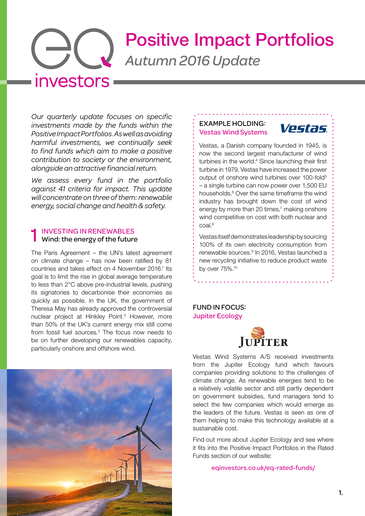# Positive Impact Portfolios *Autumn 2016 Update* investors

*Our quarterly update focuses on specific investments made by the funds within the Positive Impact Portfolios. As well as avoiding harmful investments, we continually seek to find funds which aim to make a positive contribution to society or the environment, alongside an attractive financial return.*

*We assess every fund in the portfolio against 41 criteria for impact. This update will concentrate on three of them: renewable energy, social change and health & safety.*

### 1 INVESTING IN RENEWABLES Wind: the energy of the future

The Paris Agreement – the UN's latest agreement on climate change – has now been ratified by 81 countries and takes effect on 4 November 2016.<sup>1</sup> Its goal is to limit the rise in global average temperature to less than 2°C above pre-industrial levels, pushing its signatories to decarbonise their economies as quickly as possible. In the UK, the government of Theresa May has already approved the controversial nuclear project at Hinkley Point.<sup>2</sup> However, more than 50% of the UK's current energy mix still come from fossil fuel sources.[3](#page-1-2) The focus now needs to be on further developing our renewables capacity, particularly onshore and offshore wind.



#### EXAMPLE HOLDING: Vestas Wind Systems



Vestas, a Danish company founded in 1945, is now the second largest manufacturer of wind turbines in the world.<sup>4</sup> Since launching their first turbine in 1979, Vestas have increased the power output of onshore wind turbines over 100-fold<sup>[5](#page-1-4)</sup> – a single turbine can now power over 1,500 EU households.<sup>6</sup> Over the same timeframe the wind industry has brought down the cost of wind energy by more than 20 times, $<sup>7</sup>$  making onshore</sup> wind competitive on cost with both nuclear and coal.[8](#page-1-7)

Vestas itself demonstrates leadership by sourcing 100% of its own electricity consumption from renewable sources.<sup>9</sup> In 2016, Vestas launched a new recycling initiative to reduce product waste by over 75%[.10](#page-2-1)

## FUND IN FOCUS: Jupiter Ecology



Vestas Wind Systems A/S received investments from the Jupiter Ecology fund which favours companies providing solutions to the challenges of climate change. As renewable energies tend to be a relatively volatile sector and still partly dependent on government subsidies, fund managers tend to select the few companies which would emerge as the leaders of the future. Vestas is seen as one of them helping to make this technology available at a sustainable cost.

Find out more about Jupiter Ecology and see where it fits into the Positive Impact Portfolios in the Rated Funds section of our website:

[eqinvestors.co.uk/eq-rated-funds/](http://eqinvestors.co.uk/eq-rated-funds/)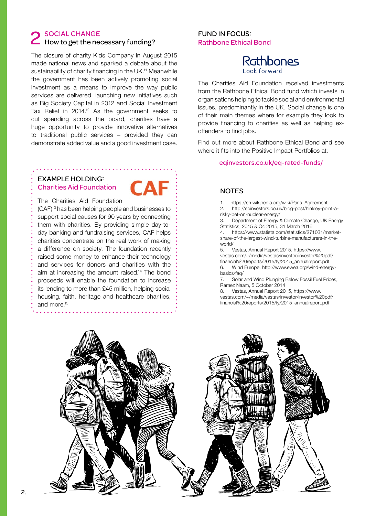# 2 SOCIAL CHANGE<br>
2 How to get the necessary funding?

The closure of charity Kids Company in August 2015 made national news and sparked a debate about the sustainability of charity financing in the UK.<sup>11</sup> Meanwhile the government has been actively promoting social investment as a means to improve the way public services are delivered, launching new initiatives such as Big Society Capital in 2012 and Social Investment Tax Relief in 2014[.12](#page-2-3) As the government seeks to cut spending across the board, charities have a huge opportunity to provide innovative alternatives to traditional public services – provided they can demonstrate added value and a good investment case.

## EXAMPLE HOLDING: Charities Aid Foundation



The Charities Aid Foundation (CAF[\)13](#page-2-4) has been helping people and businesses to support social causes for 90 years by connecting them with charities. By providing simple day-today banking and fundraising services, CAF helps charities concentrate on the real work of making a difference on society. The foundation recently raised some money to enhance their technology and services for donors and charities with the aim at increasing the amount raised[.14](#page-2-5) The bond proceeds will enable the foundation to increase its lending to more than £45 million, helping social housing, faith, heritage and healthcare charities, and more[.15](#page-2-6)

### FUND IN FOCUS: Rathbone Ethical Bond



The Charities Aid Foundation received investments from the Rathbone Ethical Bond fund which invests in organisations helping to tackle social and environmental issues, predominantly in the UK. Social change is one of their main themes where for example they look to provide financing to charities as well as helping exoffenders to find jobs.

Find out more about Rathbone Ethical Bond and see where it fits into the Positive Impact Portfolios at:

[eqinvestors.co.uk/eq-rated-funds/](http://eqinvestors.co.uk/eq-rated-funds/)

#### **NOTES**

<span id="page-1-0"></span>1. [https://en.wikipedia.org/wiki/Paris\\_Agreement](https://en.wikipedia.org/wiki/Paris_Agreement)

<span id="page-1-1"></span>2. [http://eqinvestors.co.uk/blog-post/hinkley-point-a](http://eqinvestors.co.uk/blog-post/hinkley-point-a-risky-bet-on-nuclear-energy/)[risky-bet-on-nuclear-energy/](http://eqinvestors.co.uk/blog-post/hinkley-point-a-risky-bet-on-nuclear-energy/)

<span id="page-1-2"></span>3. Department of Energy & Climate Change, UK Energy Statistics, 2015 & Q4 2015, 31 March 2016

<span id="page-1-3"></span>4. [https://www.statista.com/statistics/271031/market](https://www.statista.com/statistics/271031/market-share-of-the-largest-wind-turbine-manufacturers-in-the-world/)[share-of-the-largest-wind-turbine-manufacturers-in-the](https://www.statista.com/statistics/271031/market-share-of-the-largest-wind-turbine-manufacturers-in-the-world/)[world/](https://www.statista.com/statistics/271031/market-share-of-the-largest-wind-turbine-manufacturers-in-the-world/)

<span id="page-1-4"></span>5. Vestas, Annual Report 2015, [https://www.](https://www.vestas.com/~/media/vestas/investor/investor pdf/financial reports/2015/fy/2015_annualreport.pdf) [vestas.com/~/media/vestas/investor/investor%20pdf/](https://www.vestas.com/~/media/vestas/investor/investor pdf/financial reports/2015/fy/2015_annualreport.pdf) [financial%20reports/2015/fy/2015\\_annualreport.pdf](https://www.vestas.com/~/media/vestas/investor/investor pdf/financial reports/2015/fy/2015_annualreport.pdf) 6. Wind Europe, [http://www.ewea.org/wind-energy](http://www.ewea.org/wind-energy-basics/faq/)[basics/faq/](http://www.ewea.org/wind-energy-basics/faq/)

<span id="page-1-6"></span><span id="page-1-5"></span>7. Solar and Wind Plunging Below Fossil Fuel Prices, Ramez Naam, 5 October 2014

<span id="page-1-7"></span>8. Vestas, Annual Report 2015, [https://www.](https://www.vestas.com/~/media/vestas/investor/investor pdf/financial reports/2015/fy/2015_annualreport.pdf) [vestas.com/~/media/vestas/investor/investor%20pdf/](https://www.vestas.com/~/media/vestas/investor/investor pdf/financial reports/2015/fy/2015_annualreport.pdf) [financial%20reports/2015/fy/2015\\_annualreport.pdf](https://www.vestas.com/~/media/vestas/investor/investor pdf/financial reports/2015/fy/2015_annualreport.pdf)

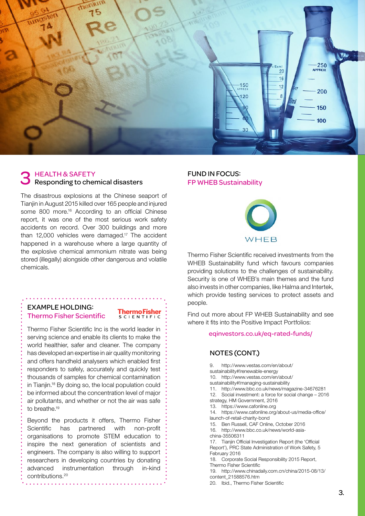

# 3 HEALTH & SAFETY<br>3 Responding to chemical disasters

The disastrous explosions at the Chinese seaport of Tianjin in August 2015 killed over 165 people and injured some 800 more.<sup>16</sup> According to an official Chinese report, it was one of the most serious work safety accidents on record. Over 300 buildings and more than 12,000 vehicles were damaged.<sup>17</sup> The accident happened in a warehouse where a large quantity of the explosive chemical ammonium nitrate was being stored (illegally) alongside other dangerous and volatile chemicals.

### EXAMPLE HOLDING: Thermo Fisher Scientific

# **ThermoFisher**<br>SCLENTIFIC

Thermo Fisher Scientific Inc is the world leader in serving science and enable its clients to make the world healthier, safer and cleaner. The company has developed an expertise in air quality monitoring and offers handheld analysers which enabled first responders to safely, accurately and quickly test thousands of samples for chemical contamination in Tianjin[.18](#page-2-9) By doing so, the local population could be informed about the concentration level of major air pollutants, and whether or not the air was safe to breathe.<sup>19</sup>

Beyond the products it offers, Thermo Fisher Scientific has partnered with non-profit organisations to promote STEM education to inspire the next generation of scientists and engineers. The company is also willing to support researchers in developing countries by donating advanced instrumentation through in-kind contributions[.20](#page-2-11)

<u>. . . . . . . . . . .</u>

#### FUND IN FOCUS: FP WHEB Sustainability



Thermo Fisher Scientific received investments from the WHEB Sustainability fund which favours companies providing solutions to the challenges of sustainability. Security is one of WHEB's main themes and the fund also invests in other companies, like Halma and Intertek, which provide testing services to protect assets and people.

Find out more about FP WHEB Sustainability and see where it fits into the Positive Impact Portfolios:

#### eqinvestors.co.uk/eq-rated-funds/

#### NOTES (CONT.)

<span id="page-2-11"></span><span id="page-2-10"></span><span id="page-2-9"></span><span id="page-2-8"></span><span id="page-2-7"></span><span id="page-2-6"></span><span id="page-2-5"></span><span id="page-2-4"></span><span id="page-2-3"></span><span id="page-2-2"></span><span id="page-2-1"></span><span id="page-2-0"></span>9. [http://www.vestas.com/en/about/](http://www.vestas.com/en/about/sustainability#!renewable-energy) [sustainability#!renewable-energy](http://www.vestas.com/en/about/sustainability#!renewable-energy) 10. [http://www.vestas.com/en/about/](http://www.vestas.com/en/about/sustainability#!managing-sustainability) [sustainability#!managing-sustainability](http://www.vestas.com/en/about/sustainability#!managing-sustainability) 11. http://www.bbc.co.uk/news/magazine-34676281 12. Social investment: a force for social change – 2016 strategy, HM Government, 2016 13. <https://www.cafonline.org> 14. [https://www.cafonline.org/about-us/media-office/](https://www.cafonline.org/about-us/media-office/launch-of-retail-charity-bond) [launch-of-retail-charity-bond](https://www.cafonline.org/about-us/media-office/launch-of-retail-charity-bond) 15. Ben Russell, CAF Online, October 2016 16. [http://www.bbc.co.uk/news/world-asia](http://www.bbc.co.uk/news/world-asia-china-35506311)[china-35506311](http://www.bbc.co.uk/news/world-asia-china-35506311) 17. Tianjin Official Investigation Report (the 'Official Report'), PRC State Administration of Work Safety, 5 February 2016 18. Corporate Social Responsibility 2015 Report, Thermo Fisher Scientific 19. [http://www.chinadaily.com.cn/china/2015-08/13/](http://www.chinadaily.com.cn/china/2015-08/13/content_21588576.htm) [content\\_21588576.htm](http://www.chinadaily.com.cn/china/2015-08/13/content_21588576.htm) 20. Ibid., Thermo Fisher Scientific